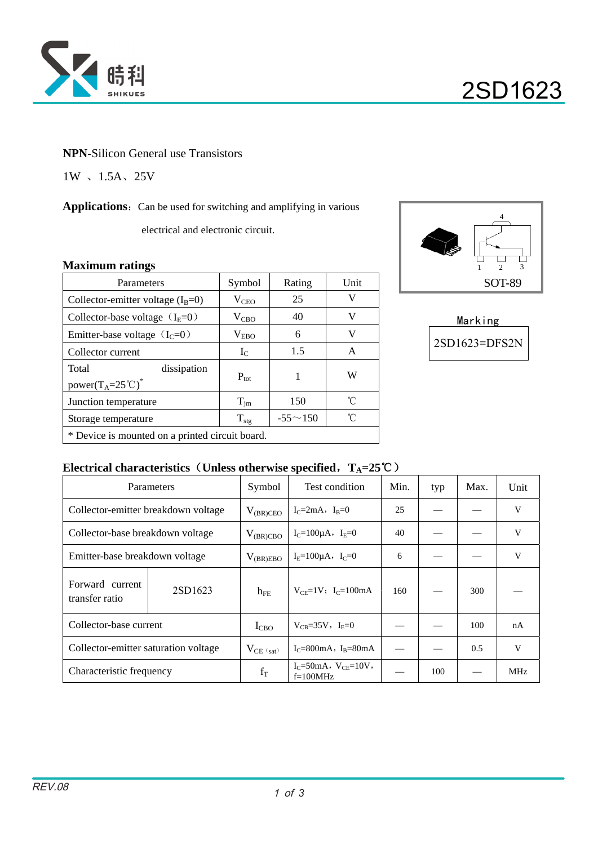

### **NPN-**Silicon General use Transistors

1W 、1.5A、25V

Applications: Can be used for switching and amplifying in various

electrical and electronic circuit.

### **Maximum ratings**

| Parameters                                                                    | Symbol           | Rating         | <b>Unit</b> |  |  |
|-------------------------------------------------------------------------------|------------------|----------------|-------------|--|--|
| Collector-emitter voltage $(I_B=0)$                                           | $V_{\rm CEO}$    | 25             | V           |  |  |
| Collector-base voltage $(I_E=0)$                                              | $V_{CBO}$        | 40             | V           |  |  |
| Emitter-base voltage $(IC=0)$                                                 | $V_{EBO}$        | 6              | V           |  |  |
| Collector current                                                             | $I_{C}$          | 1.5            | A           |  |  |
| Total<br>dissipation<br>power(T <sub>A</sub> =25 <sup>°</sup> C) <sup>*</sup> | $P_{\text{tot}}$ | 1              | W           |  |  |
| Junction temperature                                                          | $T_{\text{im}}$  | 150            | °C          |  |  |
| Storage temperature                                                           | $T_{\text{stg}}$ | $-55 \sim 150$ | ุึ่         |  |  |
| * Device is mounted on a printed circuit board.                               |                  |                |             |  |  |



Marking 2SD1623=DFS2N

### **Electrical characteristics** (Unless otherwise specified,  $T_A = 25^\circ \text{C}$ )

|                                      | Parameters | Symbol         | Test condition                               | Min. | typ | Max. | Unit |
|--------------------------------------|------------|----------------|----------------------------------------------|------|-----|------|------|
| Collector-emitter breakdown voltage  |            | $V_{(BR)CEO}$  | $I_C = 2mA$ , $I_R = 0$                      | 25   |     |      | V    |
| Collector-base breakdown voltage     |            | $V_{(BR)CBO}$  | $I_C = 100 \mu A$ , $I_E = 0$                | 40   |     |      | V    |
| Emitter-base breakdown voltage       |            | $V_{(BR)EBO}$  | $I_F = 100 \mu A$ , $I_C = 0$                | 6    |     |      | V    |
| Forward current<br>transfer ratio    | 2SD1623    | $h_{FE}$       | $V_{CF} = 1V$ ; I <sub>C</sub> =100mA        | 160  |     | 300  |      |
| Collector-base current               |            | $I_{CBO}$      | $V_{CR} = 35V$ , $I_{E} = 0$                 |      |     | 100  | nA   |
| Collector-emitter saturation voltage |            | $V_{CE (sat)}$ | $I_c = 800 \text{mA}$ , $I_R = 80 \text{mA}$ |      |     | 0.5  | V    |
| Characteristic frequency             |            | $f_T$          | $I_C = 50mA, V_{CE} = 10V,$<br>$f=100MHz$    |      | 100 |      | MHz  |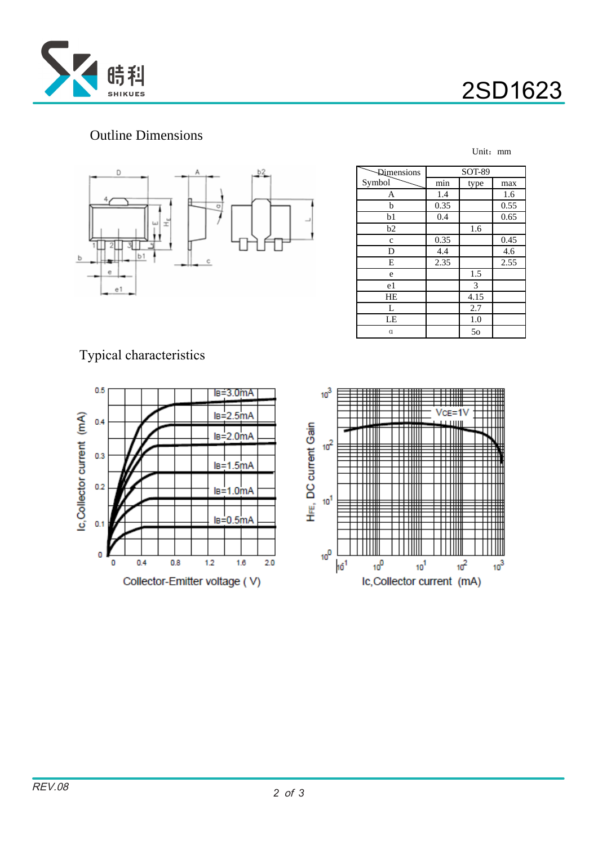



Unit:mm

## Outline Dimensions



| <b>Dimensions</b> | <b>SOT-89</b> |      |      |  |
|-------------------|---------------|------|------|--|
| Symbol            | min           | type | max  |  |
| Α                 | 1.4           |      | 1.6  |  |
| b                 | 0.35          |      | 0.55 |  |
| b1                | 0.4           |      | 0.65 |  |
| b2                |               | 1.6  |      |  |
| C                 | 0.35          |      | 0.45 |  |
| D                 | 4.4           |      | 4.6  |  |
| Е                 | 2.35          |      | 2.55 |  |
| e                 |               | 1.5  |      |  |
| e1                |               | 3    |      |  |
| HE                |               | 4.15 |      |  |
| L                 |               | 2.7  |      |  |
| LE                |               | 1.0  |      |  |
| α                 |               | 50   |      |  |

Typical characteristics